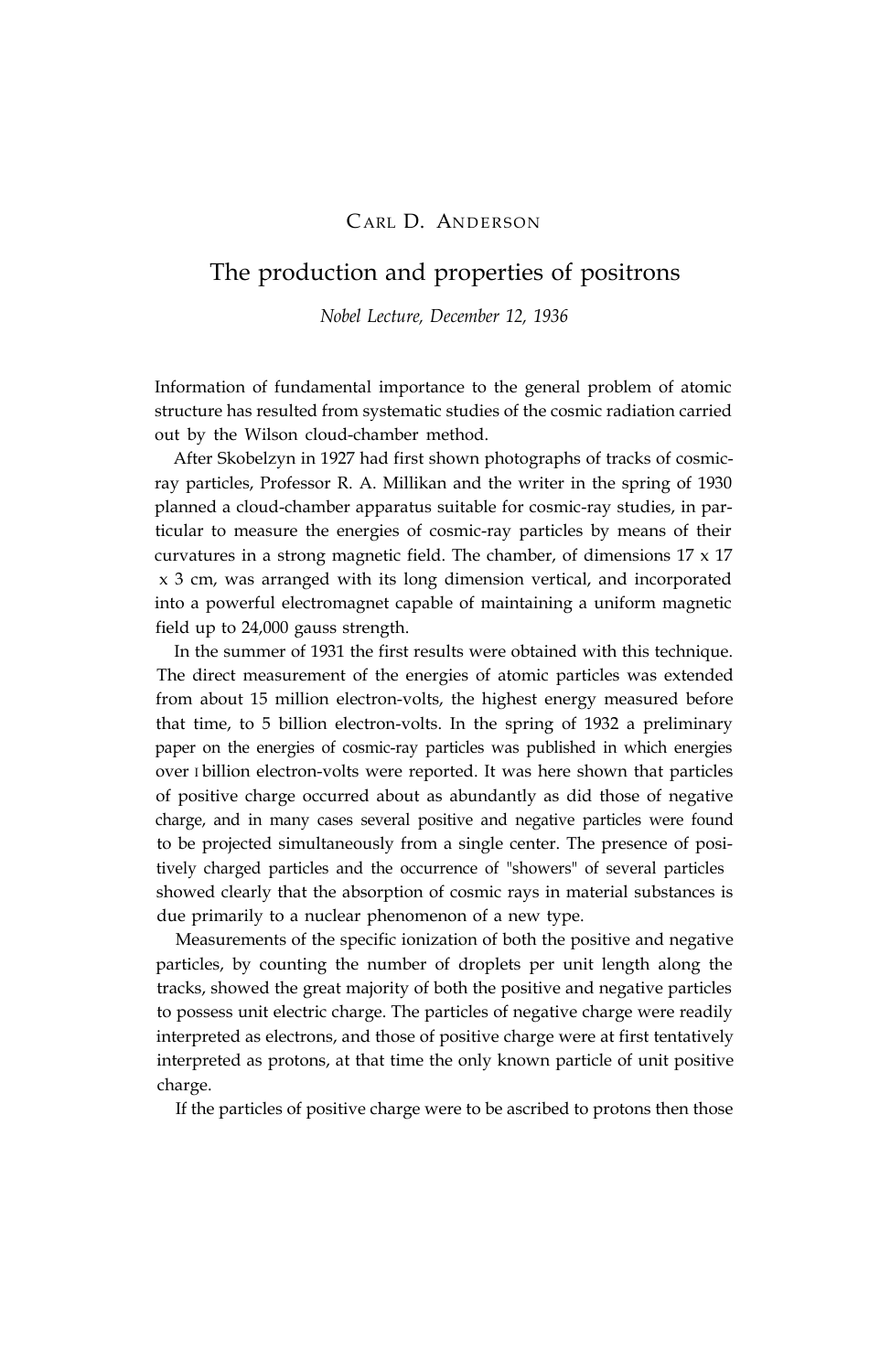## CARL D. ANDERSON

# The production and properties of positrons

*Nobel Lecture, December 12, 1936*

Information of fundamental importance to the general problem of atomic structure has resulted from systematic studies of the cosmic radiation carried out by the Wilson cloud-chamber method.

After Skobelzyn in 1927 had first shown photographs of tracks of cosmicray particles, Professor R. A. Millikan and the writer in the spring of 1930 planned a cloud-chamber apparatus suitable for cosmic-ray studies, in particular to measure the energies of cosmic-ray particles by means of their curvatures in a strong magnetic field. The chamber, of dimensions  $17 \times 17$ x 3 cm, was arranged with its long dimension vertical, and incorporated into a powerful electromagnet capable of maintaining a uniform magnetic field up to 24,000 gauss strength.

In the summer of 1931 the first results were obtained with this technique. The direct measurement of the energies of atomic particles was extended from about 15 million electron-volts, the highest energy measured before that time, to 5 billion electron-volts. In the spring of 1932 a preliminary paper on the energies of cosmic-ray particles was published in which energies over I billion electron-volts were reported. It was here shown that particles of positive charge occurred about as abundantly as did those of negative charge, and in many cases several positive and negative particles were found to be projected simultaneously from a single center. The presence of positively charged particles and the occurrence of "showers" of several particles showed clearly that the absorption of cosmic rays in material substances is due primarily to a nuclear phenomenon of a new type.

Measurements of the specific ionization of both the positive and negative particles, by counting the number of droplets per unit length along the tracks, showed the great majority of both the positive and negative particles to possess unit electric charge. The particles of negative charge were readily interpreted as electrons, and those of positive charge were at first tentatively interpreted as protons, at that time the only known particle of unit positive charge.

If the particles of positive charge were to be ascribed to protons then those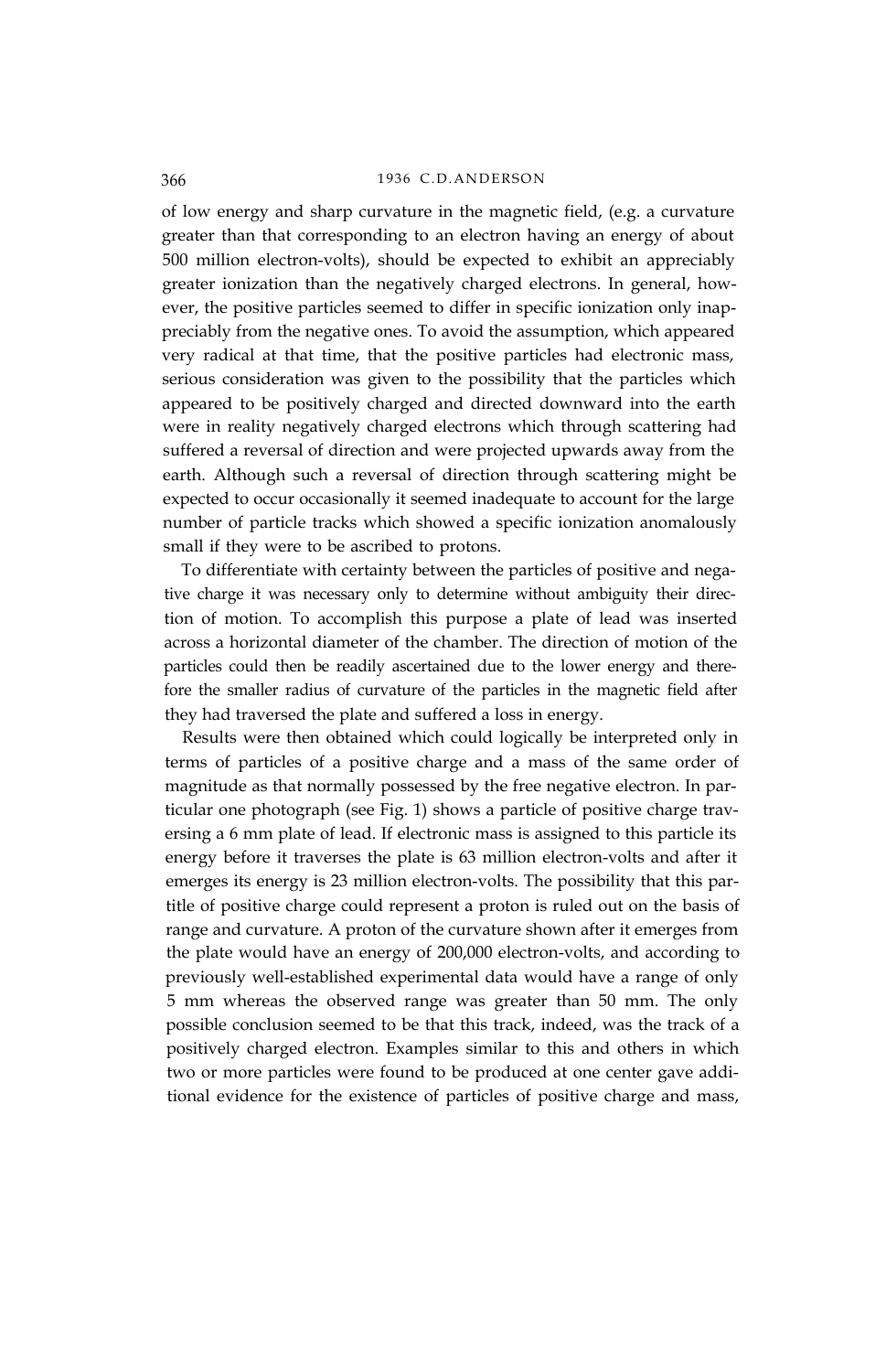of low energy and sharp curvature in the magnetic field, (e.g. a curvature greater than that corresponding to an electron having an energy of about 500 million electron-volts), should be expected to exhibit an appreciably greater ionization than the negatively charged electrons. In general, however, the positive particles seemed to differ in specific ionization only inappreciably from the negative ones. To avoid the assumption, which appeared very radical at that time, that the positive particles had electronic mass, serious consideration was given to the possibility that the particles which appeared to be positively charged and directed downward into the earth were in reality negatively charged electrons which through scattering had suffered a reversal of direction and were projected upwards away from the earth. Although such a reversal of direction through scattering might be expected to occur occasionally it seemed inadequate to account for the large number of particle tracks which showed a specific ionization anomalously small if they were to be ascribed to protons.

To differentiate with certainty between the particles of positive and negative charge it was necessary only to determine without ambiguity their direction of motion. To accomplish this purpose a plate of lead was inserted across a horizontal diameter of the chamber. The direction of motion of the particles could then be readily ascertained due to the lower energy and therefore the smaller radius of curvature of the particles in the magnetic field after they had traversed the plate and suffered a loss in energy.

Results were then obtained which could logically be interpreted only in terms of particles of a positive charge and a mass of the same order of magnitude as that normally possessed by the free negative electron. In particular one photograph (see Fig. 1) shows a particle of positive charge traversing a 6 mm plate of lead. If electronic mass is assigned to this particle its energy before it traverses the plate is 63 million electron-volts and after it emerges its energy is 23 million electron-volts. The possibility that this partitle of positive charge could represent a proton is ruled out on the basis of range and curvature. A proton of the curvature shown after it emerges from the plate would have an energy of 200,000 electron-volts, and according to previously well-established experimental data would have a range of only 5 mm whereas the observed range was greater than 50 mm. The only possible conclusion seemed to be that this track, indeed, was the track of a positively charged electron. Examples similar to this and others in which two or more particles were found to be produced at one center gave additional evidence for the existence of particles of positive charge and mass,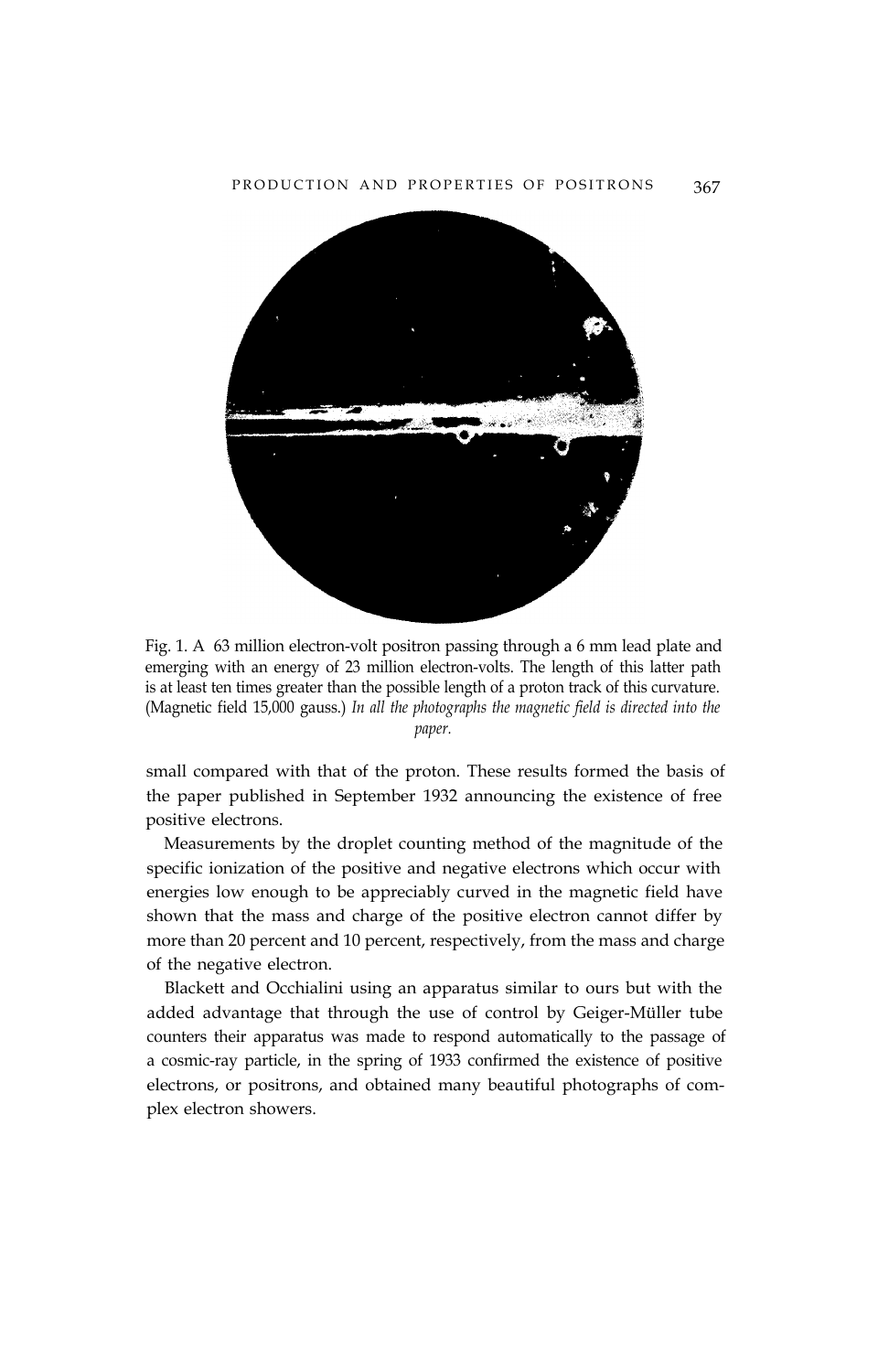

Fig. 1. A 63 million electron-volt positron passing through a 6 mm lead plate and emerging with an energy of 23 million electron-volts. The length of this latter path is at least ten times greater than the possible length of a proton track of this curvature. (Magnetic field 15,000 gauss.) *In all the photographs the magnetic field is directed into the paper.*

small compared with that of the proton. These results formed the basis of the paper published in September 1932 announcing the existence of free positive electrons.

Measurements by the droplet counting method of the magnitude of the specific ionization of the positive and negative electrons which occur with energies low enough to be appreciably curved in the magnetic field have shown that the mass and charge of the positive electron cannot differ by more than 20 percent and 10 percent, respectively, from the mass and charge of the negative electron.

Blackett and Occhialini using an apparatus similar to ours but with the added advantage that through the use of control by Geiger-Müller tube counters their apparatus was made to respond automatically to the passage of a cosmic-ray particle, in the spring of 1933 confirmed the existence of positive electrons, or positrons, and obtained many beautiful photographs of complex electron showers.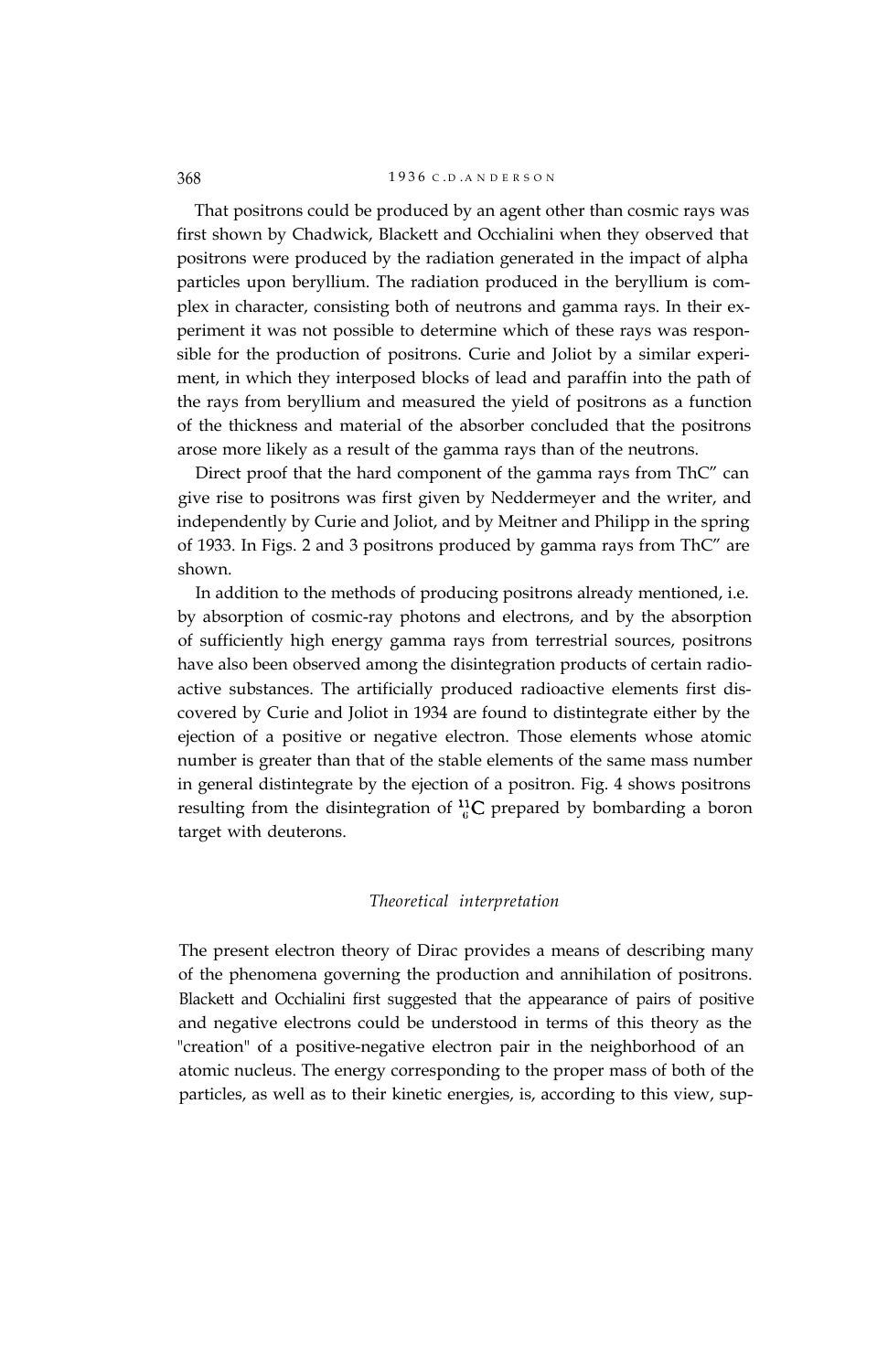368 1 9 3 6 C .D .A N D E R S O N

That positrons could be produced by an agent other than cosmic rays was first shown by Chadwick, Blackett and Occhialini when they observed that positrons were produced by the radiation generated in the impact of alpha particles upon beryllium. The radiation produced in the beryllium is complex in character, consisting both of neutrons and gamma rays. In their experiment it was not possible to determine which of these rays was responsible for the production of positrons. Curie and Joliot by a similar experiment, in which they interposed blocks of lead and paraffin into the path of the rays from beryllium and measured the yield of positrons as a function of the thickness and material of the absorber concluded that the positrons arose more likely as a result of the gamma rays than of the neutrons.

Direct proof that the hard component of the gamma rays from ThC" can give rise to positrons was first given by Neddermeyer and the writer, and independently by Curie and Joliot, and by Meitner and Philipp in the spring of 1933. In Figs. 2 and 3 positrons produced by gamma rays from ThC" are shown.

In addition to the methods of producing positrons already mentioned, i.e. by absorption of cosmic-ray photons and electrons, and by the absorption of sufficiently high energy gamma rays from terrestrial sources, positrons have also been observed among the disintegration products of certain radioactive substances. The artificially produced radioactive elements first discovered by Curie and Joliot in 1934 are found to distintegrate either by the ejection of a positive or negative electron. Those elements whose atomic number is greater than that of the stable elements of the same mass number in general distintegrate by the ejection of a positron. Fig. 4 shows positrons resulting from the disintegration of  ${}^{11}_{6}$ C prepared by bombarding a boron target with deuterons.

#### *Theoretical interpretation*

The present electron theory of Dirac provides a means of describing many of the phenomena governing the production and annihilation of positrons. Blackett and Occhialini first suggested that the appearance of pairs of positive and negative electrons could be understood in terms of this theory as the "creation" of a positive-negative electron pair in the neighborhood of an atomic nucleus. The energy corresponding to the proper mass of both of the particles, as well as to their kinetic energies, is, according to this view, sup-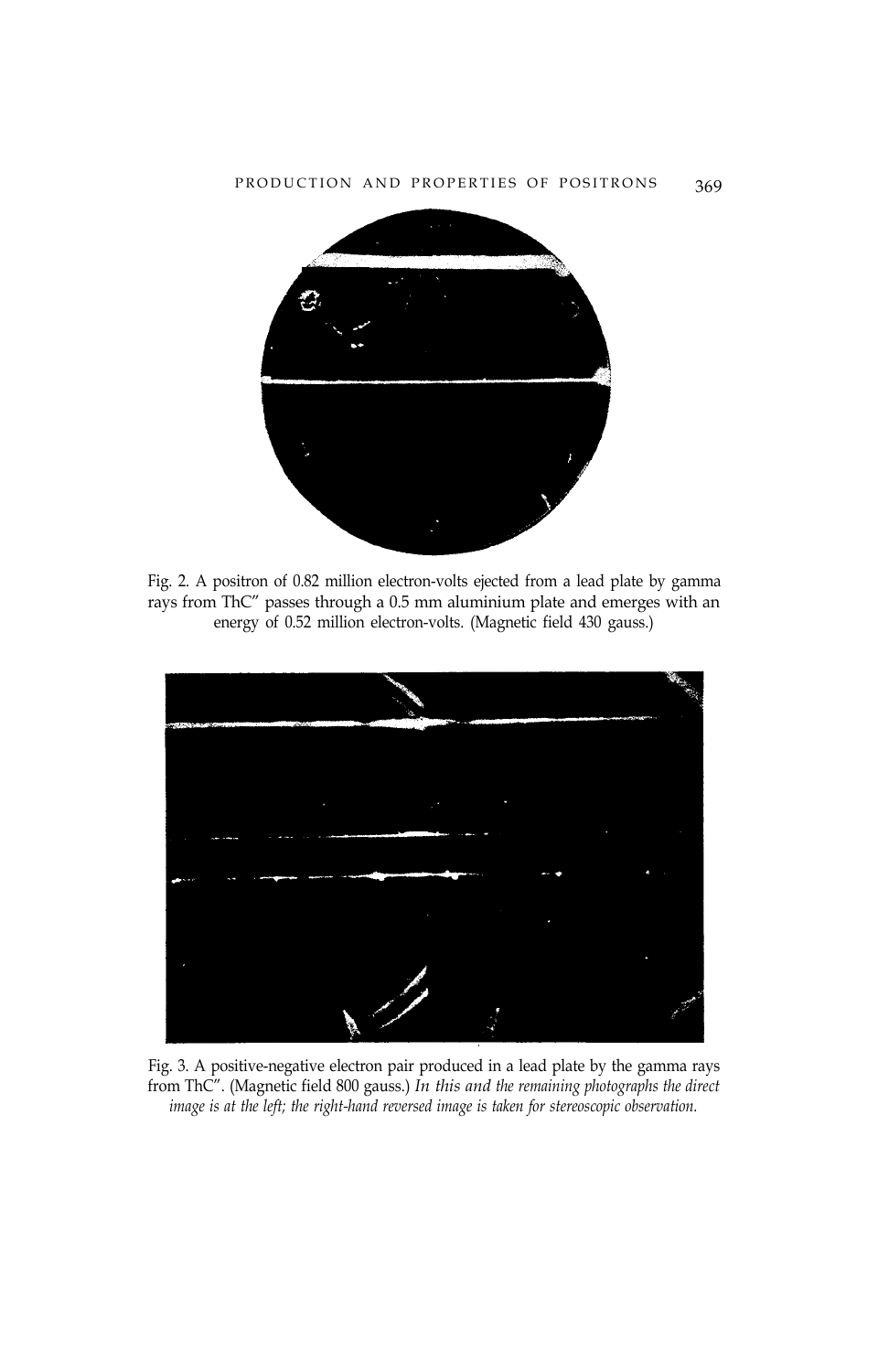

Fig. 2. A positron of 0.82 million electron-volts ejected from a lead plate by gamma rays from ThC" passes through a 0.5 mm aluminium plate and emerges with an energy of 0.52 million electron-volts. (Magnetic field 430 gauss.)



Fig. 3. A positive-negative electron pair produced in a lead plate by the gamma rays from ThC". (Magnetic field 800 gauss.) *In this and the remaining photographs the direct image is at the left; the right-hand reversed image is taken for stereoscopic observation.*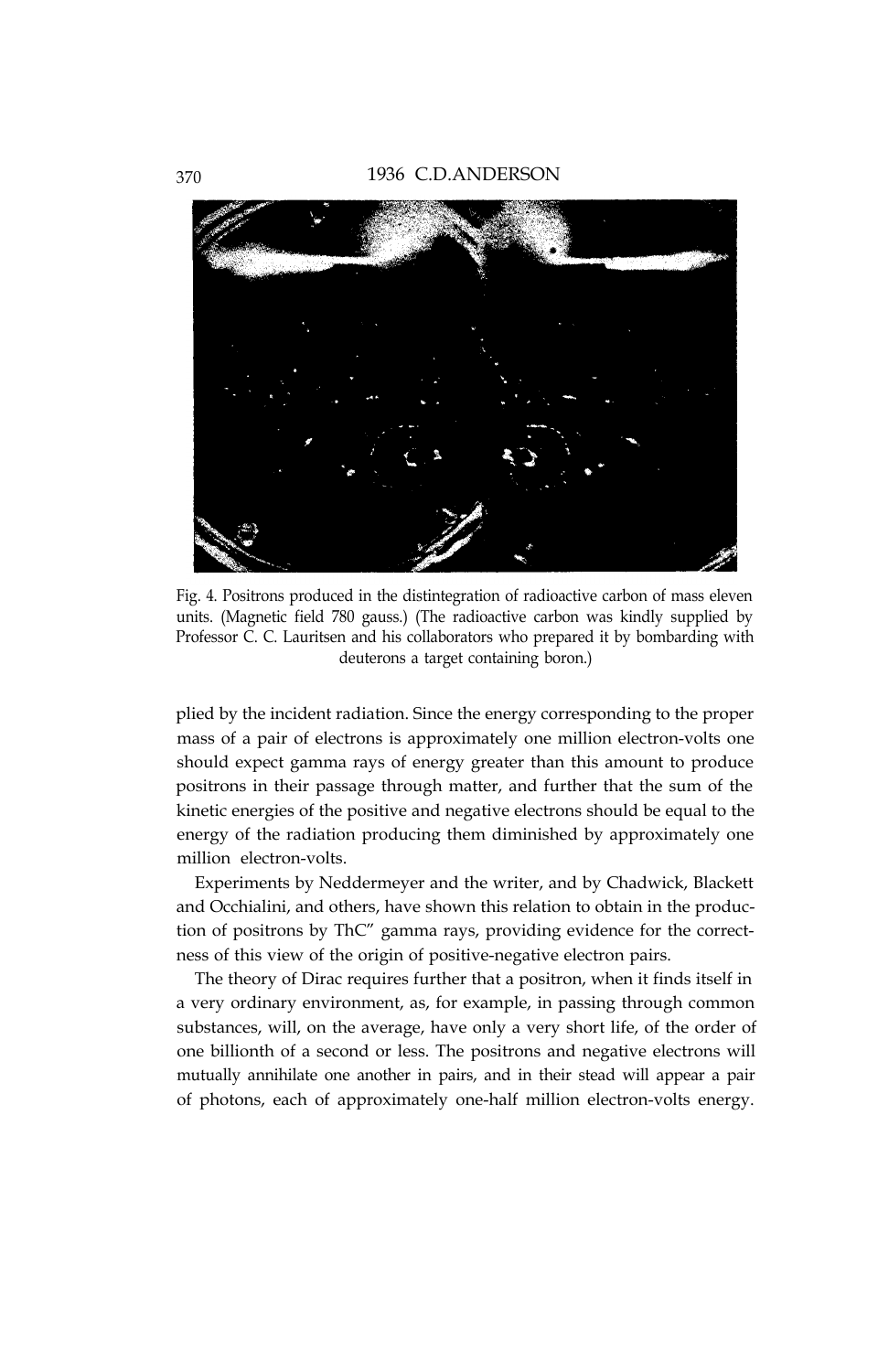

Fig. 4. Positrons produced in the distintegration of radioactive carbon of mass eleven units. (Magnetic field 780 gauss.) (The radioactive carbon was kindly supplied by Professor C. C. Lauritsen and his collaborators who prepared it by bombarding with deuterons a target containing boron.)

plied by the incident radiation. Since the energy corresponding to the proper mass of a pair of electrons is approximately one million electron-volts one should expect gamma rays of energy greater than this amount to produce positrons in their passage through matter, and further that the sum of the kinetic energies of the positive and negative electrons should be equal to the energy of the radiation producing them diminished by approximately one million electron-volts.

Experiments by Neddermeyer and the writer, and by Chadwick, Blackett and Occhialini, and others, have shown this relation to obtain in the production of positrons by ThC" gamma rays, providing evidence for the correctness of this view of the origin of positive-negative electron pairs.

The theory of Dirac requires further that a positron, when it finds itself in a very ordinary environment, as, for example, in passing through common substances, will, on the average, have only a very short life, of the order of one billionth of a second or less. The positrons and negative electrons will mutually annihilate one another in pairs, and in their stead will appear a pair of photons, each of approximately one-half million electron-volts energy.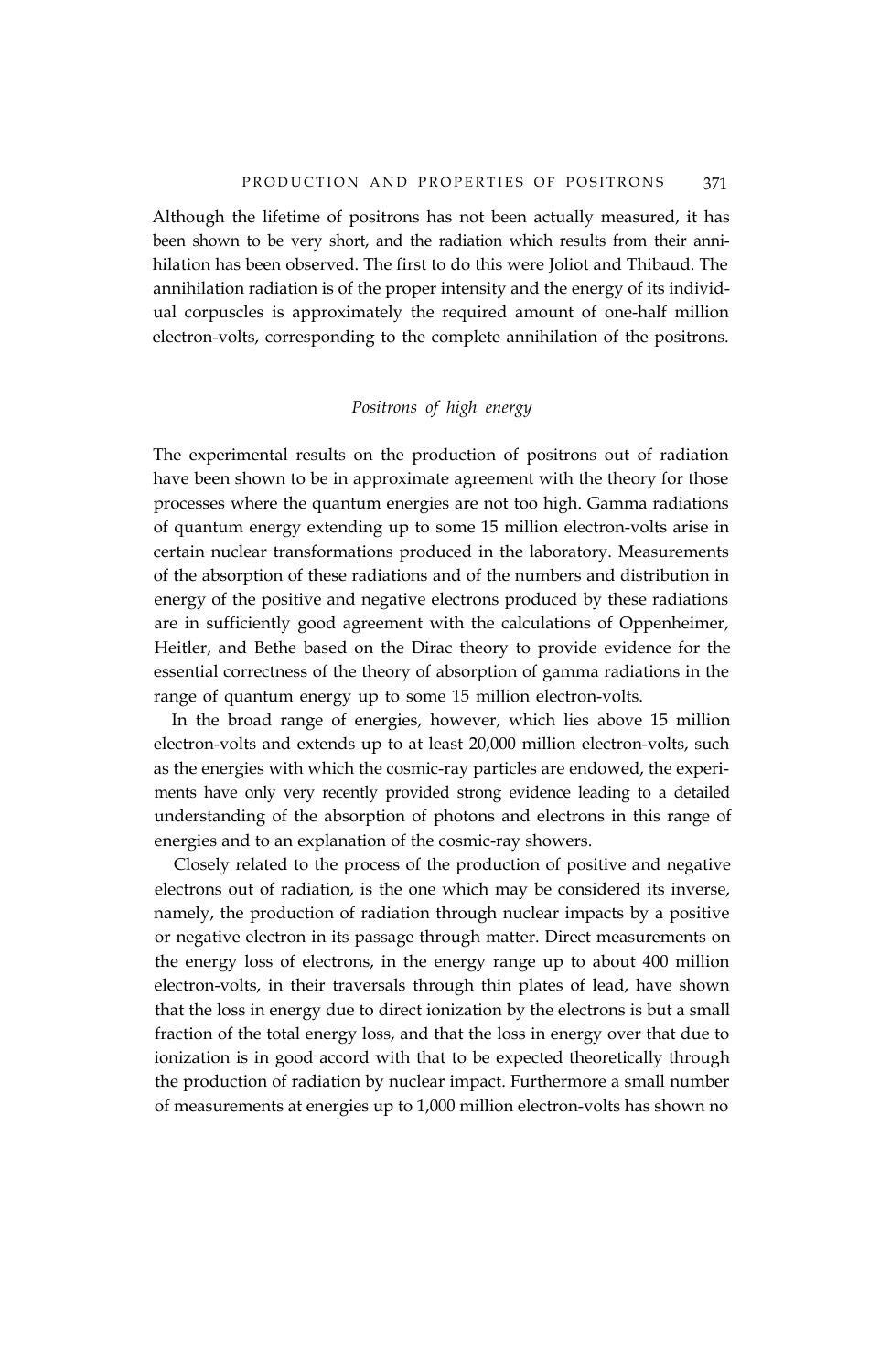Although the lifetime of positrons has not been actually measured, it has been shown to be very short, and the radiation which results from their annihilation has been observed. The first to do this were Joliot and Thibaud. The annihilation radiation is of the proper intensity and the energy of its individual corpuscles is approximately the required amount of one-half million electron-volts, corresponding to the complete annihilation of the positrons.

## *Positrons of high energy*

The experimental results on the production of positrons out of radiation have been shown to be in approximate agreement with the theory for those processes where the quantum energies are not too high. Gamma radiations of quantum energy extending up to some 15 million electron-volts arise in certain nuclear transformations produced in the laboratory. Measurements of the absorption of these radiations and of the numbers and distribution in energy of the positive and negative electrons produced by these radiations are in sufficiently good agreement with the calculations of Oppenheimer, Heitler, and Bethe based on the Dirac theory to provide evidence for the essential correctness of the theory of absorption of gamma radiations in the range of quantum energy up to some 15 million electron-volts.

In the broad range of energies, however, which lies above 15 million electron-volts and extends up to at least 20,000 million electron-volts, such as the energies with which the cosmic-ray particles are endowed, the experiments have only very recently provided strong evidence leading to a detailed understanding of the absorption of photons and electrons in this range of energies and to an explanation of the cosmic-ray showers.

Closely related to the process of the production of positive and negative electrons out of radiation, is the one which may be considered its inverse, namely, the production of radiation through nuclear impacts by a positive or negative electron in its passage through matter. Direct measurements on the energy loss of electrons, in the energy range up to about 400 million electron-volts, in their traversals through thin plates of lead, have shown that the loss in energy due to direct ionization by the electrons is but a small fraction of the total energy loss, and that the loss in energy over that due to ionization is in good accord with that to be expected theoretically through the production of radiation by nuclear impact. Furthermore a small number of measurements at energies up to 1,000 million electron-volts has shown no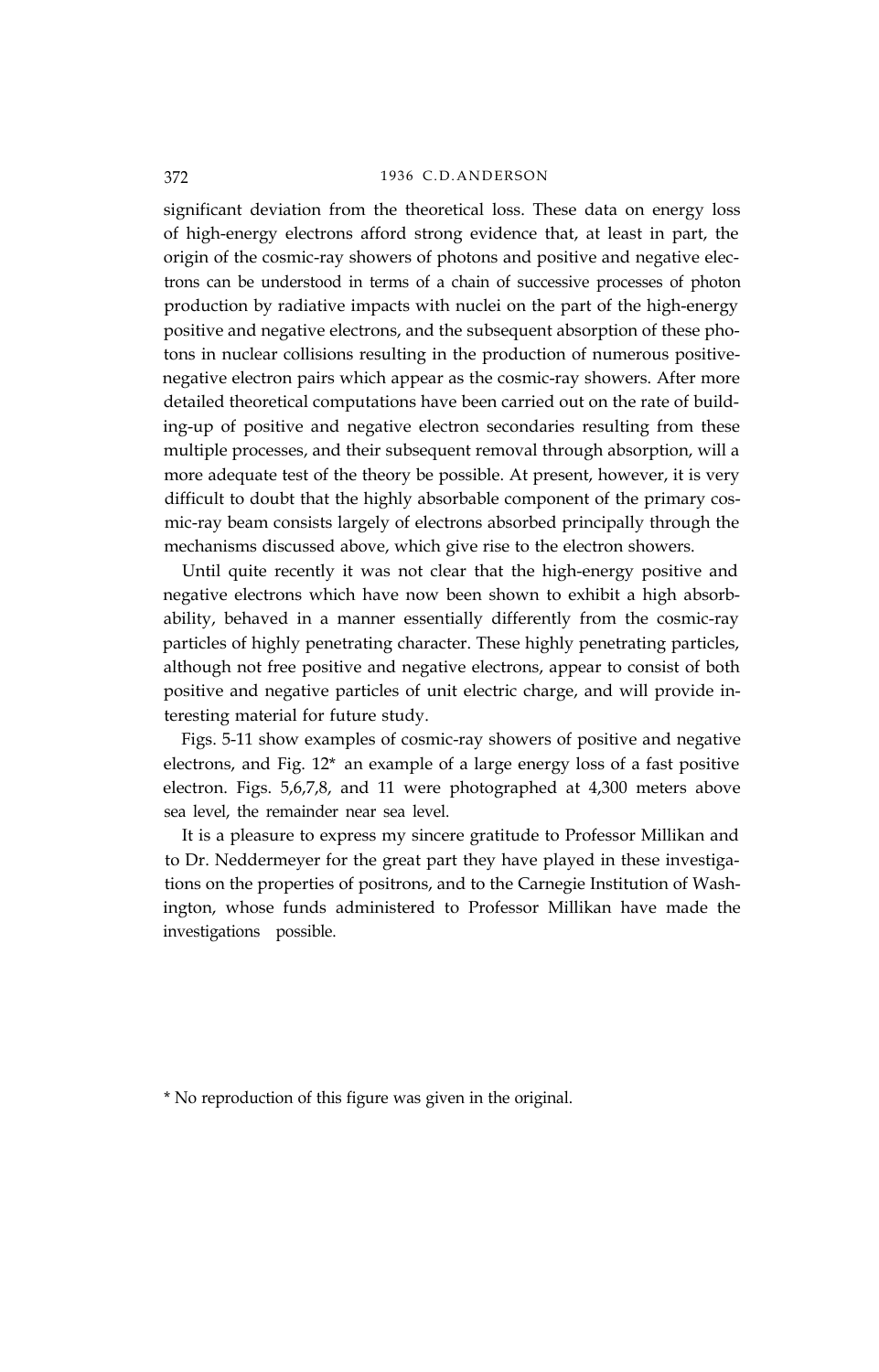significant deviation from the theoretical loss. These data on energy loss of high-energy electrons afford strong evidence that, at least in part, the origin of the cosmic-ray showers of photons and positive and negative electrons can be understood in terms of a chain of successive processes of photon production by radiative impacts with nuclei on the part of the high-energy positive and negative electrons, and the subsequent absorption of these photons in nuclear collisions resulting in the production of numerous positivenegative electron pairs which appear as the cosmic-ray showers. After more detailed theoretical computations have been carried out on the rate of building-up of positive and negative electron secondaries resulting from these multiple processes, and their subsequent removal through absorption, will a more adequate test of the theory be possible. At present, however, it is very difficult to doubt that the highly absorbable component of the primary cosmic-ray beam consists largely of electrons absorbed principally through the mechanisms discussed above, which give rise to the electron showers.

Until quite recently it was not clear that the high-energy positive and negative electrons which have now been shown to exhibit a high absorbability, behaved in a manner essentially differently from the cosmic-ray particles of highly penetrating character. These highly penetrating particles, although not free positive and negative electrons, appear to consist of both positive and negative particles of unit electric charge, and will provide interesting material for future study.

Figs. 5-11 show examples of cosmic-ray showers of positive and negative electrons, and Fig. 12\* an example of a large energy loss of a fast positive electron. Figs. 5,6,7,8, and 11 were photographed at 4,300 meters above sea level, the remainder near sea level.

It is a pleasure to express my sincere gratitude to Professor Millikan and to Dr. Neddermeyer for the great part they have played in these investigations on the properties of positrons, and to the Carnegie Institution of Washington, whose funds administered to Professor Millikan have made the investigations possible.

\* No reproduction of this figure was given in the original.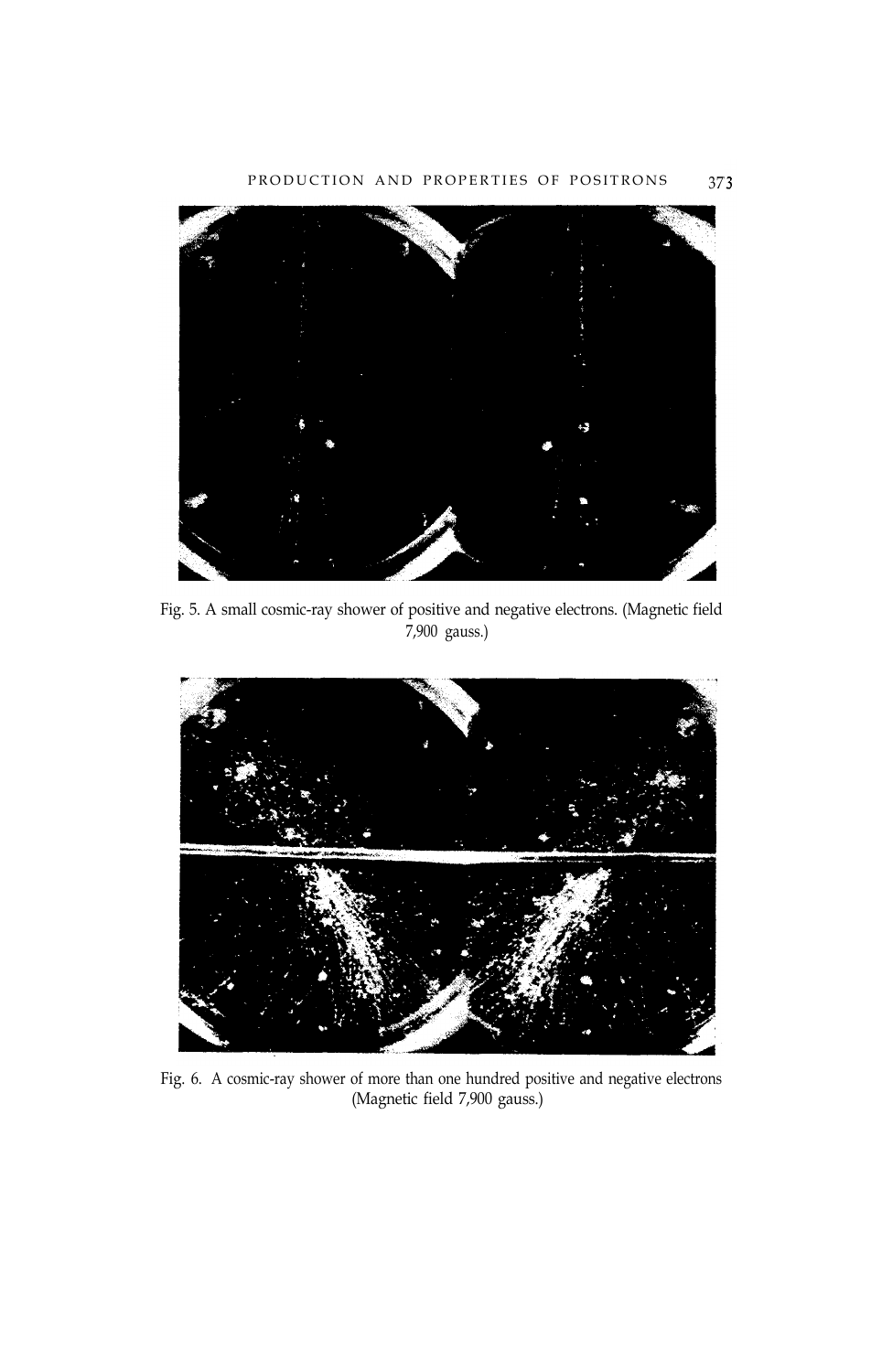

Fig. 5. A small cosmic-ray shower of positive and negative electrons. (Magnetic field 7,900 gauss.)



Fig. 6. A cosmic-ray shower of more than one hundred positive and negative electrons (Magnetic field 7,900 gauss.)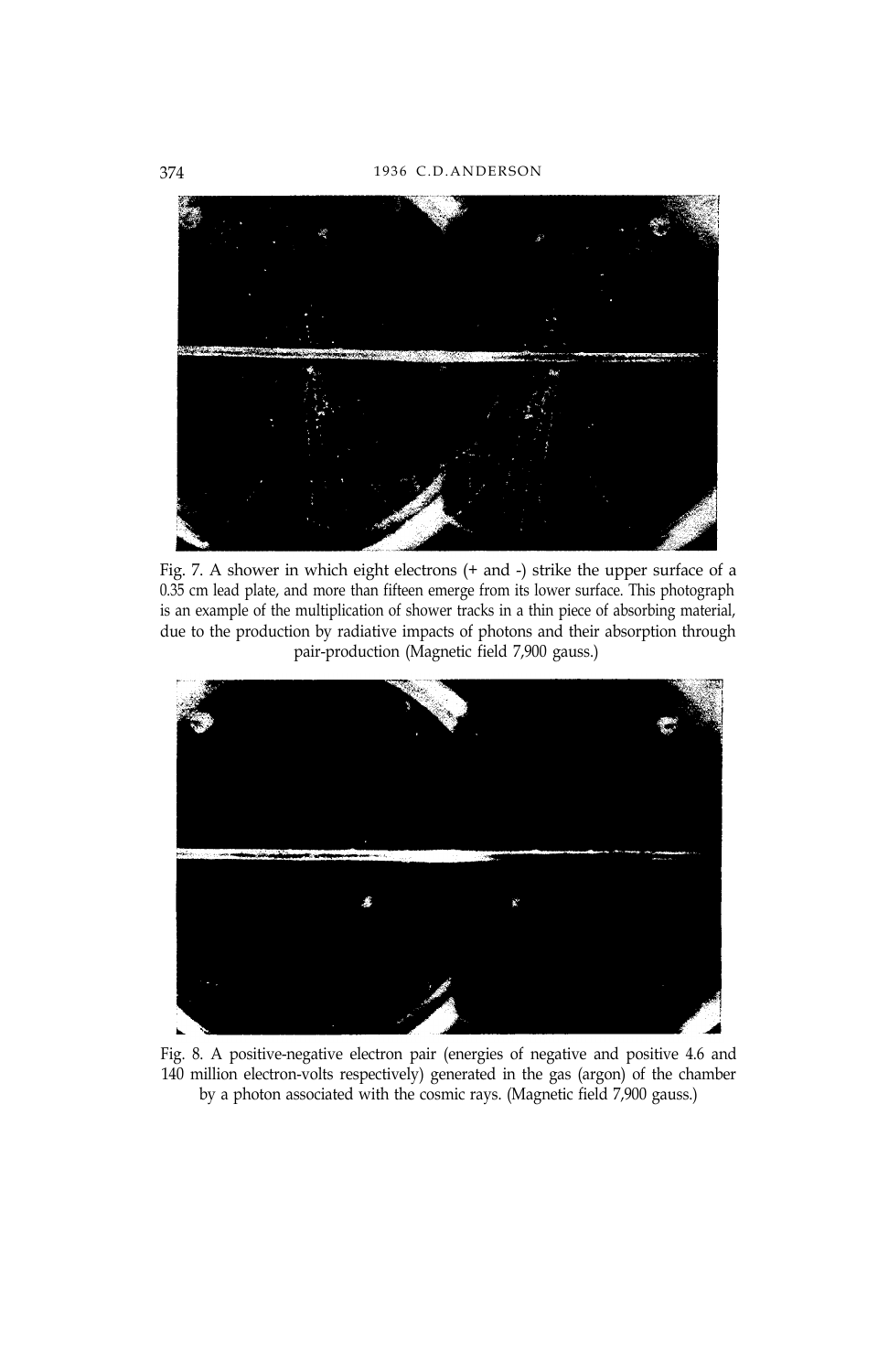

Fig. 7. A shower in which eight electrons (+ and -) strike the upper surface of a 0.35 cm lead plate, and more than fifteen emerge from its lower surface. This photograph is an example of the multiplication of shower tracks in a thin piece of absorbing material, due to the production by radiative impacts of photons and their absorption through pair-production (Magnetic field 7,900 gauss.)



Fig. 8. A positive-negative electron pair (energies of negative and positive 4.6 and 140 million electron-volts respectively) generated in the gas (argon) of the chamber by a photon associated with the cosmic rays. (Magnetic field 7,900 gauss.)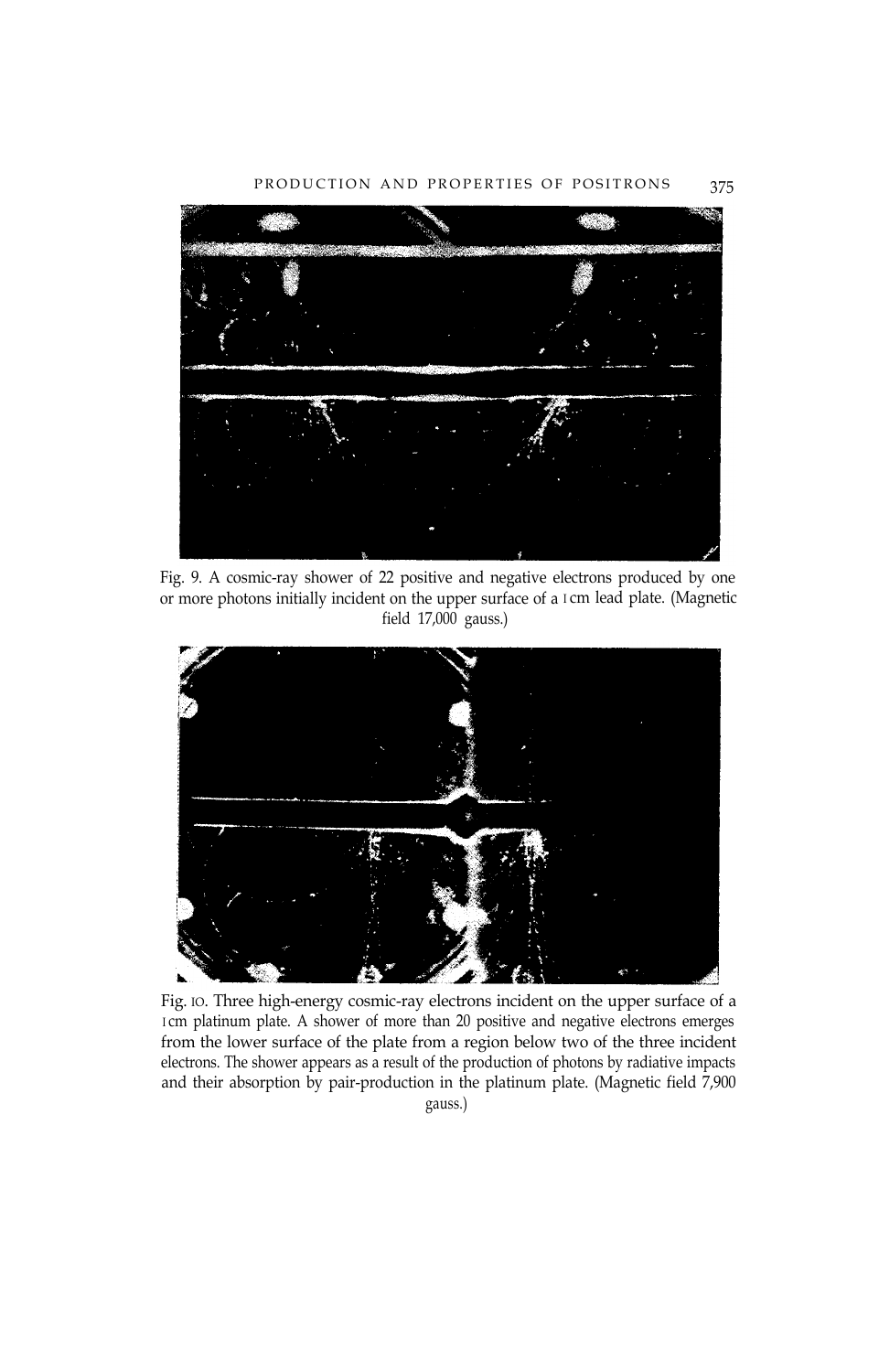## PRODUCTION AND PROPERTIES OF POSITRONS 375



Fig. 9. A cosmic-ray shower of 22 positive and negative electrons produced by one or more photons initially incident on the upper surface of a I cm lead plate. (Magnetic field 17,000 gauss.)



Fig. IO. Three high-energy cosmic-ray electrons incident on the upper surface of a I cm platinum plate. A shower of more than 20 positive and negative electrons emerges from the lower surface of the plate from a region below two of the three incident electrons. The shower appears as a result of the production of photons by radiative impacts and their absorption by pair-production in the platinum plate. (Magnetic field 7,900 gauss.)